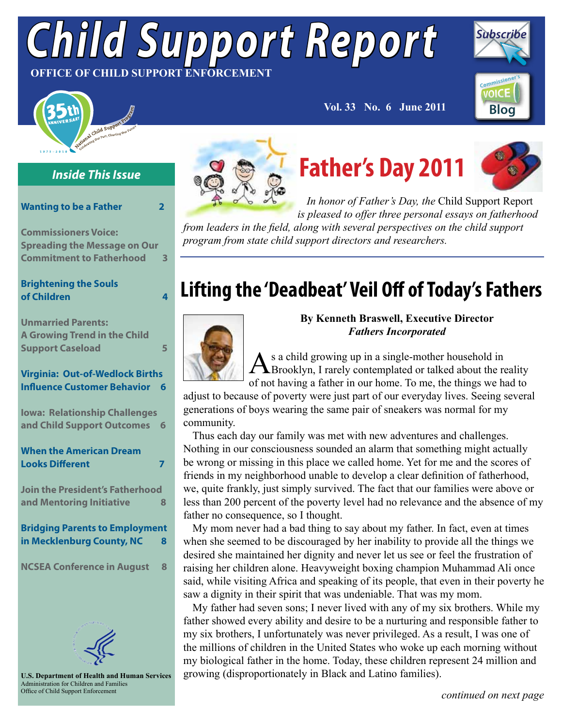# *Child Support Report* **OFFICE OF CHILD SUPPORT ENFORCEMENT**



### *Inside This Issue*

#### **[Wanting to be a Father 2](#page-1-0)**

**[Commissioners Voice:](#page-2-0) [Spreading the Message on Our](#page-2-0)  [Commitment to Fatherhood 3](#page-2-0)**

### **[Brightening the Souls](#page-3-0)  [of Children 4](#page-3-0)**

**[Unmarried Parents:](#page-4-0)  [A Growing Trend in the Child](#page-4-0) [Support Caseload 5](#page-4-0)**

### **[Virginia: Out-of-Wedlock Births](#page-5-0) [Influence Customer Behavior 6](#page-5-0)**

**[Iowa: Relationship Challenges](#page-5-0) [and Child Support Outcomes 6](#page-5-0)**

| <b>When the American Dream</b>         |  |  |
|----------------------------------------|--|--|
| <b>Looks Different</b>                 |  |  |
|                                        |  |  |
| <b>Join the President's Fatherhood</b> |  |  |

**[and Mentoring Initiative 8](#page-7-0)**

### **[Bridging Parents to Employment](#page-7-0) [in Mecklenburg County, NC 8](#page-7-0)**

**[NCSEA Conference in August 8](#page-7-0)**



**U.S. Department of Health and Human Services** Administration for Children and Families Office of Child Support Enforcement



# **Father's Day 2011**

 **Vol. 33 No. 6 June 2011**



**[Blog](http://www.acf.hhs.gov/programs/cse/blogs/voice/)**

**VOICE** 

**Subscri** 

*In honor of Father's Day, the* Child Support Report *is pleased to offer three personal essays on fatherhood* 

*from leaders in the field, along with several perspectives on the child support program from state child support directors and researchers.* 

## **Lifting the 'Deadbeat' Veil Off of Today's Fathers**



### **By Kenneth Braswell, Executive Director** *Fathers Incorporated*

As a child growing up in a single-mother household in<br>Brooklyn, I rarely contemplated or talked about the reality of not having a father in our home. To me, the things we had to

adjust to because of poverty were just part of our everyday lives. Seeing several generations of boys wearing the same pair of sneakers was normal for my community.

Thus each day our family was met with new adventures and challenges. Nothing in our consciousness sounded an alarm that something might actually be wrong or missing in this place we called home. Yet for me and the scores of friends in my neighborhood unable to develop a clear definition of fatherhood, we, quite frankly, just simply survived. The fact that our families were above or less than 200 percent of the poverty level had no relevance and the absence of my father no consequence, so I thought.

My mom never had a bad thing to say about my father. In fact, even at times when she seemed to be discouraged by her inability to provide all the things we desired she maintained her dignity and never let us see or feel the frustration of raising her children alone. Heavyweight boxing champion Muhammad Ali once said, while visiting Africa and speaking of its people, that even in their poverty he saw a dignity in their spirit that was undeniable. That was my mom.

My father had seven sons; I never lived with any of my six brothers. While my father showed every ability and desire to be a nurturing and responsible father to my six brothers, I unfortunately was never privileged. As a result, I was one of the millions of children in the United States who woke up each morning without my biological father in the home. Today, these children represent 24 million and growing (disproportionately in Black and Latino families).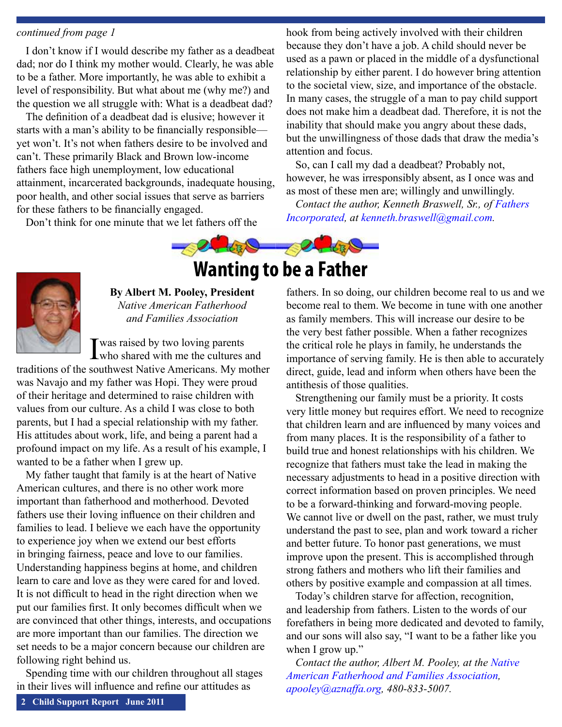#### <span id="page-1-0"></span>*continued from page 1*

I don't know if I would describe my father as a deadbeat dad; nor do I think my mother would. Clearly, he was able to be a father. More importantly, he was able to exhibit a level of responsibility. But what about me (why me?) and the question we all struggle with: What is a deadbeat dad?

The definition of a deadbeat dad is elusive; however it starts with a man's ability to be financially responsible yet won't. It's not when fathers desire to be involved and can't. These primarily Black and Brown low-income fathers face high unemployment, low educational attainment, incarcerated backgrounds, inadequate housing, poor health, and other social issues that serve as barriers for these fathers to be financially engaged.

Don't think for one minute that we let fathers off the

hook from being actively involved with their children because they don't have a job. A child should never be used as a pawn or placed in the middle of a dysfunctional relationship by either parent. I do however bring attention to the societal view, size, and importance of the obstacle. In many cases, the struggle of a man to pay child support does not make him a deadbeat dad. Therefore, it is not the inability that should make you angry about these dads, but the unwillingness of those dads that draw the media's attention and focus.

So, can I call my dad a deadbeat? Probably not, however, he was irresponsibly absent, as I once was and as most of these men are; willingly and unwillingly.

*Contact the author, Kenneth Braswell, Sr., of Fathers [Incorporated](http://www.fathersincorporated.com/), at [kenneth.braswell@gmail.com](mailto:kenneth.braswell@gmail.com).* 





**By Albert M. Pooley, President** *Native American Fatherhood and Families Association* 

I was raised by two loving parents<br>who shared with me the cultures and

traditions of the southwest Native Americans. My mother was Navajo and my father was Hopi. They were proud of their heritage and determined to raise children with values from our culture. As a child I was close to both parents, but I had a special relationship with my father. His attitudes about work, life, and being a parent had a profound impact on my life. As a result of his example, I wanted to be a father when I grew up.

My father taught that family is at the heart of Native American cultures, and there is no other work more important than fatherhood and motherhood. Devoted fathers use their loving influence on their children and families to lead. I believe we each have the opportunity to experience joy when we extend our best efforts in bringing fairness, peace and love to our families. Understanding happiness begins at home, and children learn to care and love as they were cared for and loved. It is not difficult to head in the right direction when we put our families first. It only becomes difficult when we are convinced that other things, interests, and occupations are more important than our families. The direction we set needs to be a major concern because our children are following right behind us.

Spending time with our children throughout all stages in their lives will influence and refine our attitudes as

fathers. In so doing, our children become real to us and we become real to them. We become in tune with one another as family members. This will increase our desire to be the very best father possible. When a father recognizes the critical role he plays in family, he understands the importance of serving family. He is then able to accurately direct, guide, lead and inform when others have been the antithesis of those qualities.

Strengthening our family must be a priority. It costs very little money but requires effort. We need to recognize that children learn and are influenced by many voices and from many places. It is the responsibility of a father to build true and honest relationships with his children. We recognize that fathers must take the lead in making the necessary adjustments to head in a positive direction with correct information based on proven principles. We need to be a forward-thinking and forward-moving people. We cannot live or dwell on the past, rather, we must truly understand the past to see, plan and work toward a richer and better future. To honor past generations, we must improve upon the present. This is accomplished through strong fathers and mothers who lift their families and others by positive example and compassion at all times.

Today's children starve for affection, recognition, and leadership from fathers. Listen to the words of our forefathers in being more dedicated and devoted to family, and our sons will also say, "I want to be a father like you when I grow up."

*Contact the author, Albert M. Pooley, at the [Native](http://www.nativeamericanfathers.org/)  [American Fatherhood and Families Association](http://www.nativeamericanfathers.org/), [apooley@aznaffa.org](mailto:apooley@aznaffa.org), 480-833-5007.*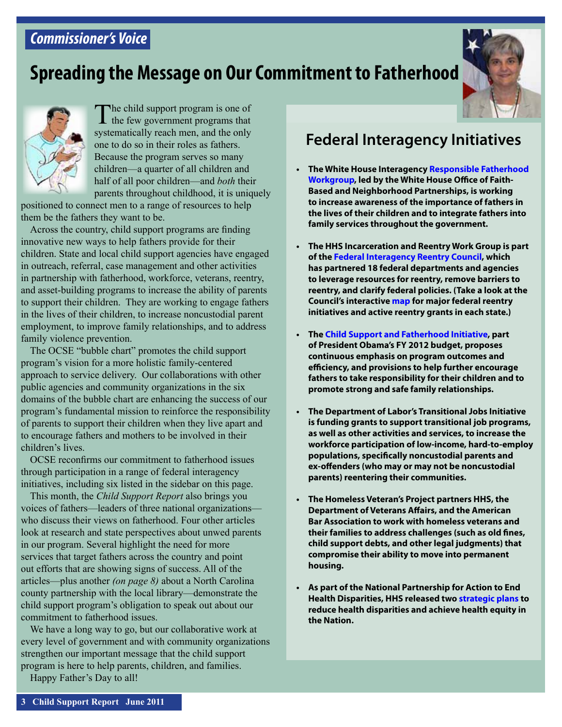### <span id="page-2-0"></span>*Commissioner's Voice*

### **Spreading the Message on Our Commitment to Fatherhood**





The child support program is one of<br>the few government programs that systematically reach men, and the only one to do so in their roles as fathers. Because the program serves so many children—a quarter of all children and half of all poor children—and *both* their parents throughout childhood, it is uniquely

positioned to connect men to a range of resources to help them be the fathers they want to be.

Across the country, child support programs are finding innovative new ways to help fathers provide for their children. State and local child support agencies have engaged in outreach, referral, case management and other activities in partnership with fatherhood, workforce, veterans, reentry, and asset-building programs to increase the ability of parents to support their children. They are working to engage fathers in the lives of their children, to increase noncustodial parent employment, to improve family relationships, and to address family violence prevention.

The OCSE "bubble chart" promotes the child support program's vision for a more holistic family-centered approach to service delivery. Our collaborations with other public agencies and community organizations in the six domains of the bubble chart are enhancing the success of our program's fundamental mission to reinforce the responsibility of parents to support their children when they live apart and to encourage fathers and mothers to be involved in their children's lives.

OCSE reconfirms our commitment to fatherhood issues through participation in a range of federal interagency initiatives, including six listed in the sidebar on this page.

This month, the *Child Support Report* also brings you voices of fathers—leaders of three national organizations who discuss their views on fatherhood. Four other articles look at research and state perspectives about unwed parents in our program. Several highlight the need for more services that target fathers across the country and point out efforts that are showing signs of success. All of the articles—plus another *(on page 8)* about a North Carolina county partnership with the local library—demonstrate the child support program's obligation to speak out about our commitment to fatherhood issues.

We have a long way to go, but our collaborative work at every level of government and with community organizations strengthen our important message that the child support program is here to help parents, children, and families.

Happy Father's Day to all!

### **Federal Interagency Initiatives**

- **• The White House Interagency [Responsible Fatherhood](http://www.fatherhood.gov/initiative)  [Workgroup](http://www.fatherhood.gov/initiative), led by the White House Office of Faith-Based and Neighborhood Partnerships, is working to increase awareness of the importance of fathers in the lives of their children and to integrate fathers into family services throughout the government.**
- **The HHS Incarceration and Reentry Work Group is part of the [Federal Interagency Reentry Council](http://www.nationalreentryresourcecenter.org/reentry-council), which has partnered 18 federal departments and agencies to leverage resources for reentry, remove barriers to reentry, and clarify federal policies. (Take a look at the Council's interactive [map](http://www.nationalreentryresourcecenter.org/national-criminal-justice-initiatives-map) for major federal reentry initiatives and active reentry grants in each state.)**
- **• The [Child Support and Fatherhood Initiative](http://www.acf.hhs.gov/programs/cse/pubs/2011/fy2012_ocse_budget_proposal.html), part of President Obama's FY 2012 budget, proposes continuous emphasis on program outcomes and efficiency, and provisions to help further encourage fathers to take responsibility for their children and to promote strong and safe family relationships.**
- **• The Department of Labor's Transitional Jobs Initiative is funding grants to support transitional job programs, as well as other activities and services, to increase the workforce participation of low-income, hard-to-employ populations, specifically noncustodial parents and ex-offenders (who may or may not be noncustodial parents) reentering their communities.**
- **• The Homeless Veteran's Project partners HHS, the Department of Veterans Affairs, and the American Bar Association to work with homeless veterans and their families to address challenges (such as old fines, child support debts, and other legal judgments) that compromise their ability to move into permanent housing.**
- **As part of the National Partnership for Action to End Health Disparities, HHS released two [strategic plans](http://www.minorityhealth.hhs.gov/npa/templates/content.aspx?lvl=1&lvlid=33&ID=299) to reduce health disparities and achieve health equity in the Nation.**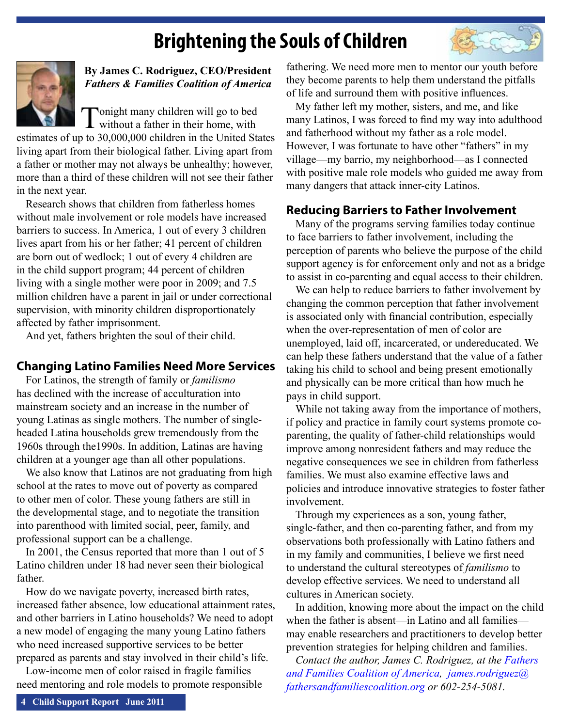# **Brightening the Souls of Children**

<span id="page-3-0"></span>

### **By James C. Rodriguez, CEO/President** *Fathers & Families Coalition of America*

Tonight many children will go to bed<br>without a father in their home, with

estimates of up to 30,000,000 children in the United States living apart from their biological father. Living apart from a father or mother may not always be unhealthy; however, more than a third of these children will not see their father in the next year.

Research shows that children from fatherless homes without male involvement or role models have increased barriers to success. In America, 1 out of every 3 children lives apart from his or her father; 41 percent of children are born out of wedlock; 1 out of every 4 children are in the child support program; 44 percent of children living with a single mother were poor in 2009; and 7.5 million children have a parent in jail or under correctional supervision, with minority children disproportionately affected by father imprisonment.

And yet, fathers brighten the soul of their child.

### **Changing Latino Families Need More Services**

For Latinos, the strength of family or *familismo*  has declined with the increase of acculturation into mainstream society and an increase in the number of young Latinas as single mothers. The number of singleheaded Latina households grew tremendously from the 1960s through the1990s. In addition, Latinas are having children at a younger age than all other populations.

We also know that Latinos are not graduating from high school at the rates to move out of poverty as compared to other men of color. These young fathers are still in the developmental stage, and to negotiate the transition into parenthood with limited social, peer, family, and professional support can be a challenge.

In 2001, the Census reported that more than 1 out of 5 Latino children under 18 had never seen their biological father.

How do we navigate poverty, increased birth rates, increased father absence, low educational attainment rates, and other barriers in Latino households? We need to adopt a new model of engaging the many young Latino fathers who need increased supportive services to be better prepared as parents and stay involved in their child's life.

Low-income men of color raised in fragile families need mentoring and role models to promote responsible fathering. We need more men to mentor our youth before they become parents to help them understand the pitfalls of life and surround them with positive influences.

My father left my mother, sisters, and me, and like many Latinos, I was forced to find my way into adulthood and fatherhood without my father as a role model. However, I was fortunate to have other "fathers" in my village—my barrio, my neighborhood—as I connected with positive male role models who guided me away from many dangers that attack inner-city Latinos.

### **Reducing Barriers to Father Involvement**

Many of the programs serving families today continue to face barriers to father involvement, including the perception of parents who believe the purpose of the child support agency is for enforcement only and not as a bridge to assist in co-parenting and equal access to their children.

We can help to reduce barriers to father involvement by changing the common perception that father involvement is associated only with financial contribution, especially when the over-representation of men of color are unemployed, laid off, incarcerated, or undereducated. We can help these fathers understand that the value of a father taking his child to school and being present emotionally and physically can be more critical than how much he pays in child support.

While not taking away from the importance of mothers, if policy and practice in family court systems promote coparenting, the quality of father-child relationships would improve among nonresident fathers and may reduce the negative consequences we see in children from fatherless families. We must also examine effective laws and policies and introduce innovative strategies to foster father involvement.

Through my experiences as a son, young father, single-father, and then co-parenting father, and from my observations both professionally with Latino fathers and in my family and communities, I believe we first need to understand the cultural stereotypes of *familismo* to develop effective services. We need to understand all cultures in American society.

In addition, knowing more about the impact on the child when the father is absent—in Latino and all families may enable researchers and practitioners to develop better prevention strategies for helping children and families.

*Contact the author, James C. Rodriguez, at the Fathers [and Families Coalition of America](http://www.azffc.org/), [james.rodriguez@](mailto:james.rodriguez@fathersandfamiliescoalition.org) [fathersandfamiliescoalition.org](mailto:james.rodriguez@fathersandfamiliescoalition.org) or 602-254-5081.*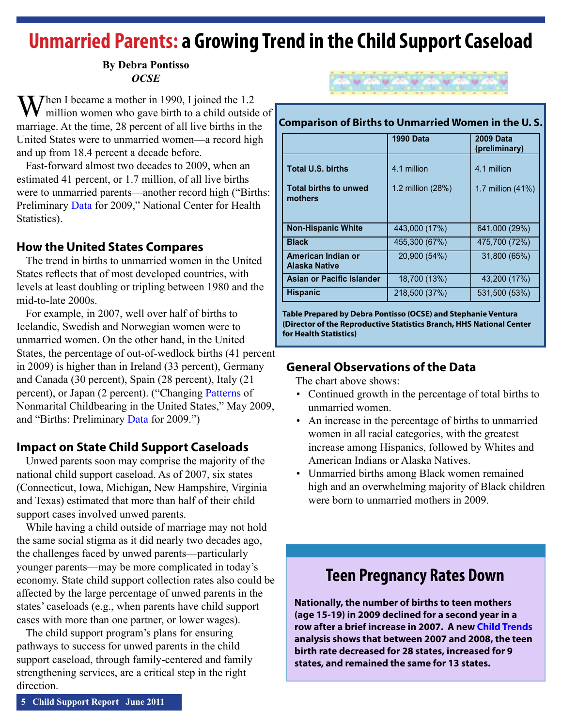### <span id="page-4-0"></span>**Unmarried Parents: a Growing Trend in the Child Support Caseload**

### **By Debra Pontisso** *OCSE*

**Then** I became a mother in 1990, I joined the 1.2 million women who gave birth to a child outside of marriage. At the time, 28 percent of all live births in the United States were to unmarried women—a record high and up from 18.4 percent a decade before.

Fast-forward almost two decades to 2009, when an estimated 41 percent, or 1.7 million, of all live births were to unmarried parents—another record high ("Births: Preliminary [Data](http://www.cdc.gov/nchs/data/nvsr/nvsr59/nvsr59_03.pdf ) for 2009," National Center for Health Statistics).

### **How the United States Compares**

The trend in births to unmarried women in the United States reflects that of most developed countries, with levels at least doubling or tripling between 1980 and the mid-to-late 2000s.

For example, in 2007, well over half of births to Icelandic, Swedish and Norwegian women were to unmarried women. On the other hand, in the United States, the percentage of out-of-wedlock births (41 percent in 2009) is higher than in Ireland (33 percent), Germany and Canada (30 percent), Spain (28 percent), Italy (21 percent), or Japan (2 percent). ("Changing [Patterns](http://www.cdc.gov/nchs/data/databriefs/db18.pdf) of Nonmarital Childbearing in the United States," May 2009, and "Births: Preliminary [Data](http://www.cdc.gov/nchs/data/nvsr/nvsr59/nvsr59_03.pdf) and http://www.cdc.gov/nchs/data/databriefs/db18.pdf ) for 2009.")

### **Impact on State Child Support Caseloads**

Unwed parents soon may comprise the majority of the national child support caseload. As of 2007, six states (Connecticut, Iowa, Michigan, New Hampshire, Virginia and Texas) estimated that more than half of their child support cases involved unwed parents.

While having a child outside of marriage may not hold the same social stigma as it did nearly two decades ago, the challenges faced by unwed parents—particularly younger parents—may be more complicated in today's economy. State child support collection rates also could be affected by the large percentage of unwed parents in the states' caseloads (e.g., when parents have child support cases with more than one partner, or lower wages).

The child support program's plans for ensuring pathways to success for unwed parents in the child support caseload, through family-centered and family strengthening services, are a critical step in the right direction.



#### **Comparison of Births to Unmarried Women in the U. S.**

|                                     | <b>1990 Data</b>  | <b>2009 Data</b><br>(preliminary) |
|-------------------------------------|-------------------|-----------------------------------|
| <b>Total U.S. births</b>            | 4.1 million       | 4.1 million                       |
| Total births to unwed<br>mothers    | 1.2 million (28%) | 1.7 million $(41%)$               |
| <b>Non-Hispanic White</b>           | 443,000 (17%)     | 641,000 (29%)                     |
| <b>Black</b>                        | 455,300 (67%)     | 475,700 (72%)                     |
| American Indian or<br>Alaska Native | 20,900 (54%)      | 31,800 (65%)                      |
| Asian or Pacific Islander           | 18,700 (13%)      | 43,200 (17%)                      |
| <b>Hispanic</b>                     | 218,500 (37%)     | 531,500 (53%)                     |

**Table Prepared by Debra Pontisso (OCSE) and Stephanie Ventura (Director of the Reproductive Statistics Branch, HHS National Center for Health Statistics)**

### **General Observations of the Data**

The chart above shows:

- Continued growth in the percentage of total births to unmarried women.
- An increase in the percentage of births to unmarried women in all racial categories, with the greatest increase among Hispanics, followed by Whites and American Indians or Alaska Natives.
- Unmarried births among Black women remained high and an overwhelming majority of Black children were born to unmarried mothers in 2009.

### **Teen Pregnancy Rates Down**

**Nationally, the number of births to teen mothers (age 15-19) in 2009 declined for a second year in a row after a brief increase in 2007. A new [Child Trends](http://www.childtrends.org/Files/Child_Trends-2011_04_14_FG_2011.pdf) analysis shows that between 2007 and 2008, the teen birth rate decreased for 28 states, increased for 9 states, and remained the same for 13 states.**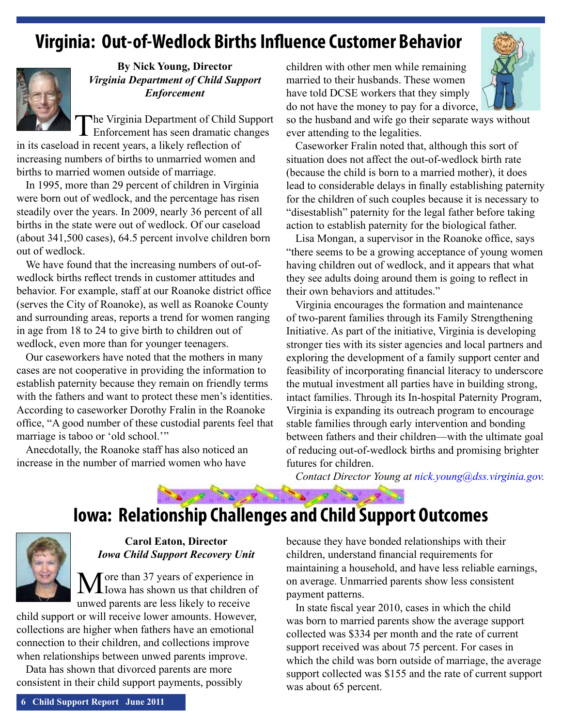### <span id="page-5-0"></span>**Virginia: Out-of-Wedlock Births Influence Customer Behavior**



### **By Nick Young, Director** *Virginia Department of Child Support Enforcement*

The Virginia Department of Child Support Enforcement has seen dramatic changes

in its caseload in recent years, a likely reflection of increasing numbers of births to unmarried women and births to married women outside of marriage.

In 1995, more than 29 percent of children in Virginia were born out of wedlock, and the percentage has risen steadily over the years. In 2009, nearly 36 percent of all births in the state were out of wedlock. Of our caseload (about 341,500 cases), 64.5 percent involve children born out of wedlock.

We have found that the increasing numbers of out-ofwedlock births reflect trends in customer attitudes and behavior. For example, staff at our Roanoke district office (serves the City of Roanoke), as well as Roanoke County and surrounding areas, reports a trend for women ranging in age from 18 to 24 to give birth to children out of wedlock, even more than for younger teenagers.

Our caseworkers have noted that the mothers in many cases are not cooperative in providing the information to establish paternity because they remain on friendly terms with the fathers and want to protect these men's identities. According to caseworker Dorothy Fralin in the Roanoke office, "A good number of these custodial parents feel that marriage is taboo or 'old school.'"

Anecdotally, the Roanoke staff has also noticed an increase in the number of married women who have

children with other men while remaining married to their husbands. These women have told DCSE workers that they simply do not have the money to pay for a divorce,



so the husband and wife go their separate ways without ever attending to the legalities.

Caseworker Fralin noted that, although this sort of situation does not affect the out-of-wedlock birth rate (because the child is born to a married mother), it does lead to considerable delays in finally establishing paternity for the children of such couples because it is necessary to "disestablish" paternity for the legal father before taking action to establish paternity for the biological father.

Lisa Mongan, a supervisor in the Roanoke office, says "there seems to be a growing acceptance of young women having children out of wedlock, and it appears that what they see adults doing around them is going to reflect in their own behaviors and attitudes."

Virginia encourages the formation and maintenance of two-parent families through its Family Strengthening Initiative. As part of the initiative, Virginia is developing stronger ties with its sister agencies and local partners and exploring the development of a family support center and feasibility of incorporating financial literacy to underscore the mutual investment all parties have in building strong, intact families. Through its In-hospital Paternity Program, Virginia is expanding its outreach program to encourage stable families through early intervention and bonding between fathers and their children—with the ultimate goal of reducing out-of-wedlock births and promising brighter futures for children.

*Contact Director Young at [nick.young@dss.virginia.gov](mailto:nick.young@dss.virginia.gov).* 

# **Iowa: Relationship Challenges and Child Support Outcomes**

a la a la a la



### **Carol Eaton, Director** *Iowa Child Support Recovery Unit*

Tore than 37 years of experience in Iowa has shown us that children of unwed parents are less likely to receive

child support or will receive lower amounts. However, collections are higher when fathers have an emotional connection to their children, and collections improve when relationships between unwed parents improve.

Data has shown that divorced parents are more consistent in their child support payments, possibly

because they have bonded relationships with their children, understand financial requirements for maintaining a household, and have less reliable earnings, on average. Unmarried parents show less consistent payment patterns.

In state fiscal year 2010, cases in which the child was born to married parents show the average support collected was \$334 per month and the rate of current support received was about 75 percent. For cases in which the child was born outside of marriage, the average support collected was \$155 and the rate of current support was about 65 percent.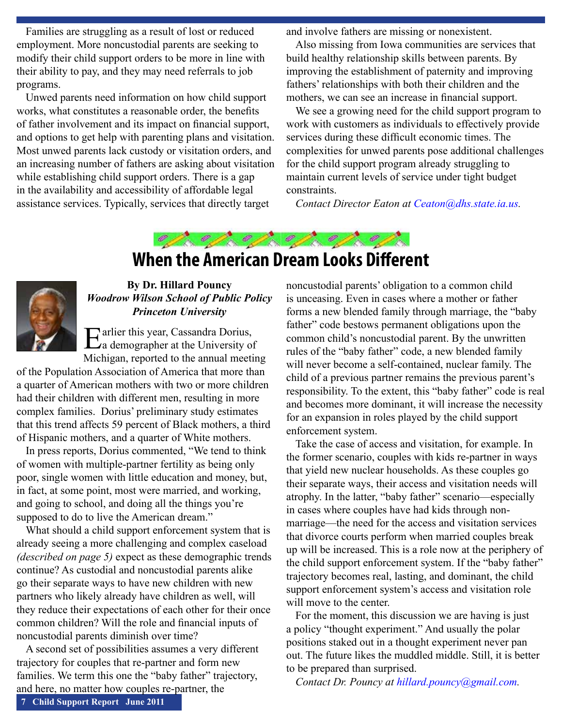<span id="page-6-0"></span>Families are struggling as a result of lost or reduced employment. More noncustodial parents are seeking to modify their child support orders to be more in line with their ability to pay, and they may need referrals to job programs.

Unwed parents need information on how child support works, what constitutes a reasonable order, the benefits of father involvement and its impact on financial support, and options to get help with parenting plans and visitation. Most unwed parents lack custody or visitation orders, and an increasing number of fathers are asking about visitation while establishing child support orders. There is a gap in the availability and accessibility of affordable legal assistance services. Typically, services that directly target

and involve fathers are missing or nonexistent.

Also missing from Iowa communities are services that build healthy relationship skills between parents. By improving the establishment of paternity and improving fathers' relationships with both their children and the mothers, we can see an increase in financial support.

We see a growing need for the child support program to work with customers as individuals to effectively provide services during these difficult economic times. The complexities for unwed parents pose additional challenges for the child support program already struggling to maintain current levels of service under tight budget constraints.

*Contact Director Eaton at [Ceaton@dhs.state.ia.us](mailto:Ceaton@dhs.state.ia.us).* 



### **When the American Dream Looks Different**



### **By Dr. Hillard Pouncy** *Woodrow Wilson School of Public Policy Princeton University*

Earlier this year, Cassandra Dorius,<br>
La demographer at the University of Michigan, reported to the annual meeting

of the Population Association of America that more than a quarter of American mothers with two or more children had their children with different men, resulting in more complex families. Dorius' preliminary study estimates that this trend affects 59 percent of Black mothers, a third of Hispanic mothers, and a quarter of White mothers.

In press reports, Dorius commented, "We tend to think of women with multiple-partner fertility as being only poor, single women with little education and money, but, in fact, at some point, most were married, and working, and going to school, and doing all the things you're supposed to do to live the American dream."

What should a child support enforcement system that is already seeing a more challenging and complex caseload *(described on page 5)* expect as these demographic trends continue? As custodial and noncustodial parents alike go their separate ways to have new children with new partners who likely already have children as well, will they reduce their expectations of each other for their once common children? Will the role and financial inputs of noncustodial parents diminish over time?

A second set of possibilities assumes a very different trajectory for couples that re-partner and form new families. We term this one the "baby father" trajectory, and here, no matter how couples re-partner, the

noncustodial parents' obligation to a common child is unceasing. Even in cases where a mother or father forms a new blended family through marriage, the "baby father" code bestows permanent obligations upon the common child's noncustodial parent. By the unwritten rules of the "baby father" code, a new blended family will never become a self-contained, nuclear family. The child of a previous partner remains the previous parent's responsibility. To the extent, this "baby father" code is real and becomes more dominant, it will increase the necessity for an expansion in roles played by the child support enforcement system.

Take the case of access and visitation, for example. In the former scenario, couples with kids re-partner in ways that yield new nuclear households. As these couples go their separate ways, their access and visitation needs will atrophy. In the latter, "baby father" scenario—especially in cases where couples have had kids through nonmarriage—the need for the access and visitation services that divorce courts perform when married couples break up will be increased. This is a role now at the periphery of the child support enforcement system. If the "baby father" trajectory becomes real, lasting, and dominant, the child support enforcement system's access and visitation role will move to the center.

For the moment, this discussion we are having is just a policy "thought experiment." And usually the polar positions staked out in a thought experiment never pan out. The future likes the muddled middle. Still, it is better to be prepared than surprised.

*Contact Dr. Pouncy at [hillard.pouncy@gmail.com](mailto:hillard.pouncy@gmail.com).*